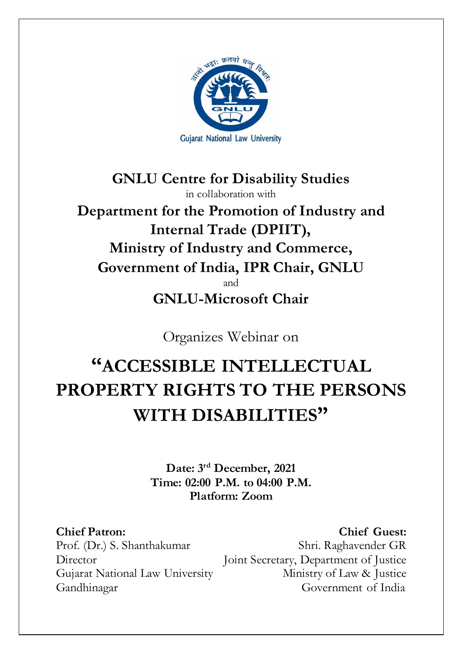

**GNLU Centre for Disability Studies** in collaboration with **Department for the Promotion of Industry and Internal Trade (DPIIT), Ministry of Industry and Commerce, Government of India, IPR Chair, GNLU**  and **GNLU-Microsoft Chair**

Organizes Webinar on

# **"ACCESSIBLE INTELLECTUAL PROPERTY RIGHTS TO THE PERSONS WITH DISABILITIES"**

**Date: 3rd December, 2021 Time: 02:00 P.M. to 04:00 P.M. Platform: Zoom**

**Chief Patron: Chief Guest:**  Prof. (Dr.) S. Shanthakumar Shri. Raghavender GR Director Joint Secretary, Department of Justice Gujarat National Law University Ministry of Law & Justice Gandhinagar Government of India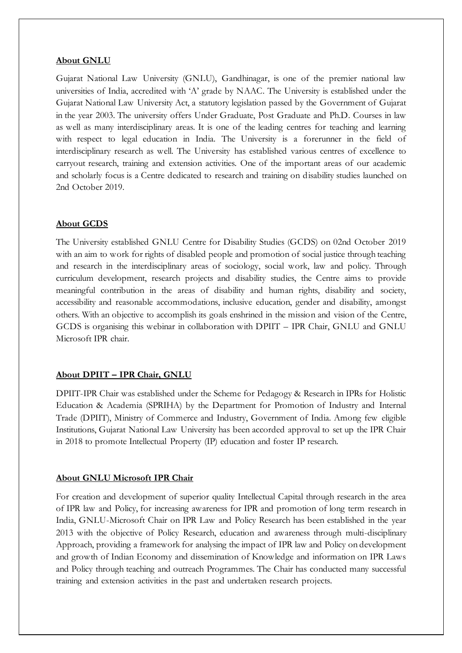## **About GNLU**

Gujarat National Law University (GNLU), Gandhinagar, is one of the premier national law universities of India, accredited with 'A' grade by NAAC. The University is established under the Gujarat National Law University Act, a statutory legislation passed by the Government of Gujarat in the year 2003. The university offers Under Graduate, Post Graduate and Ph.D. Courses in law as well as many interdisciplinary areas. It is one of the leading centres for teaching and learning with respect to legal education in India. The University is a forerunner in the field of interdisciplinary research as well. The University has established various centres of excellence to carryout research, training and extension activities. One of the important areas of our academic and scholarly focus is a Centre dedicated to research and training on disability studies launched on 2nd October 2019.

## **About GCDS**

The University established GNLU Centre for Disability Studies (GCDS) on 02nd October 2019 with an aim to work for rights of disabled people and promotion of social justice through teaching and research in the interdisciplinary areas of sociology, social work, law and policy. Through curriculum development, research projects and disability studies, the Centre aims to provide meaningful contribution in the areas of disability and human rights, disability and society, accessibility and reasonable accommodations, inclusive education, gender and disability, amongst others. With an objective to accomplish its goals enshrined in the mission and vision of the Centre, GCDS is organising this webinar in collaboration with DPIIT – IPR Chair, GNLU and GNLU Microsoft IPR chair.

## **About DPIIT – IPR Chair, GNLU**

DPIIT-IPR Chair was established under the Scheme for Pedagogy & Research in IPRs for Holistic Education & Academia (SPRIHA) by the Department for Promotion of Industry and Internal Trade (DPIIT), Ministry of Commerce and Industry, Government of India. Among few eligible Institutions, Gujarat National Law University has been accorded approval to set up the IPR Chair in 2018 to promote Intellectual Property (IP) education and foster IP research.

#### **About GNLU Microsoft IPR Chair**

For creation and development of superior quality Intellectual Capital through research in the area of IPR law and Policy, for increasing awareness for IPR and promotion of long term research in India, GNLU-Microsoft Chair on IPR Law and Policy Research has been established in the year 2013 with the objective of Policy Research, education and awareness through multi-disciplinary Approach, providing a framework for analysing the impact of IPR law and Policy on development and growth of Indian Economy and dissemination of Knowledge and information on IPR Laws and Policy through teaching and outreach Programmes. The Chair has conducted many successful training and extension activities in the past and undertaken research projects.